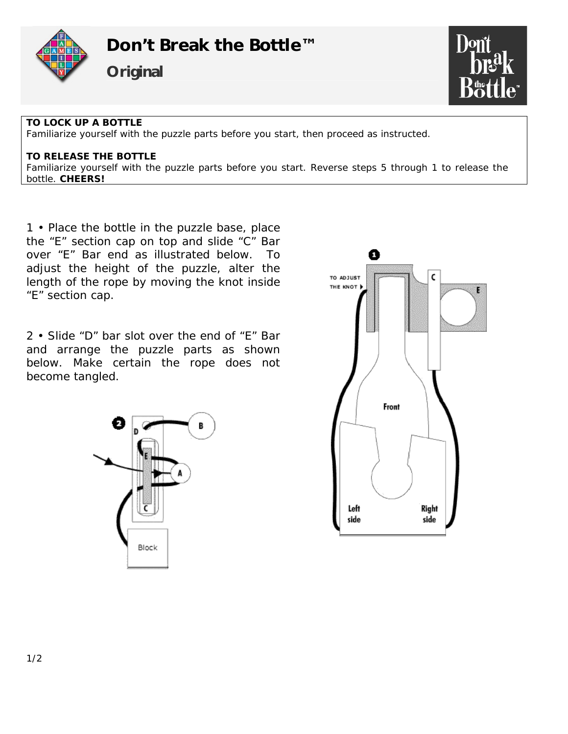



## **TO LOCK UP A BOTTLE**

Familiarize yourself with the puzzle parts before you start, then proceed as instructed.

## **TO RELEASE THE BOTTLE**

Familiarize yourself with the puzzle parts before you start. Reverse steps 5 through 1 to release the bottle. **CHEERS!**

1 • Place the bottle in the puzzle base, place the "E" section cap on top and slide "C" Bar over "E" Bar end as illustrated below. To adjust the height of the puzzle, alter the length of the rope by moving the knot inside "E" section cap.

2 • Slide "D" bar slot over the end of "E" Bar and arrange the puzzle parts as shown below. Make certain the rope does not become tangled.